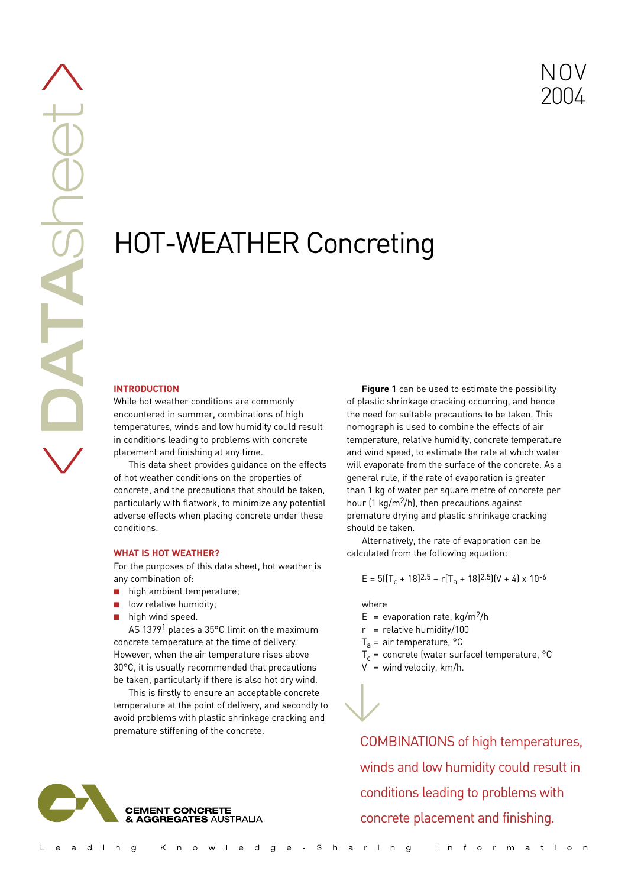# HOT-WEATHER Concreting

# **INTRODUCTION**

While hot weather conditions are commonly encountered in summer, combinations of high temperatures, winds and low humidity could result in conditions leading to problems with concrete placement and finishing at any time.

This data sheet provides guidance on the effects of hot weather conditions on the properties of concrete, and the precautions that should be taken, particularly with flatwork, to minimize any potential adverse effects when placing concrete under these conditions.

## **WHAT IS HOT WEATHER?**

For the purposes of this data sheet, hot weather is any combination of:

- high ambient temperature;
- low relative humidity;
- high wind speed.

AS 13791 places a 35°C limit on the maximum concrete temperature at the time of delivery. However, when the air temperature rises above 30°C, it is usually recommended that precautions be taken, particularly if there is also hot dry wind.

This is firstly to ensure an acceptable concrete temperature at the point of delivery, and secondly to avoid problems with plastic shrinkage cracking and premature stiffening of the concrete.



**Figure 1** can be used to estimate the possibility of plastic shrinkage cracking occurring, and hence the need for suitable precautions to be taken. This nomograph is used to combine the effects of air temperature, relative humidity, concrete temperature and wind speed, to estimate the rate at which water will evaporate from the surface of the concrete. As a general rule, if the rate of evaporation is greater than 1 kg of water per square metre of concrete per hour (1 kg/m2/h), then precautions against premature drying and plastic shrinkage cracking should be taken.

Alternatively, the rate of evaporation can be calculated from the following equation:

$$
E = 5([T_c + 18]^{2.5} - r[T_a + 18]^{2.5}[(V + 4) \times 10^{-6}
$$

where

 $\bigvee$ 

- $E =$  evaporation rate, kg/m<sup>2</sup>/h
- $r =$  relative humidity/100
- $T_a$  = air temperature, °C
- $T_c$  = concrete (water surface) temperature, °C
- $V =$  wind velocity, km/h.

COMBINATIONS of high temperatures, winds and low humidity could result in conditions leading to problems with concrete placement and finishing.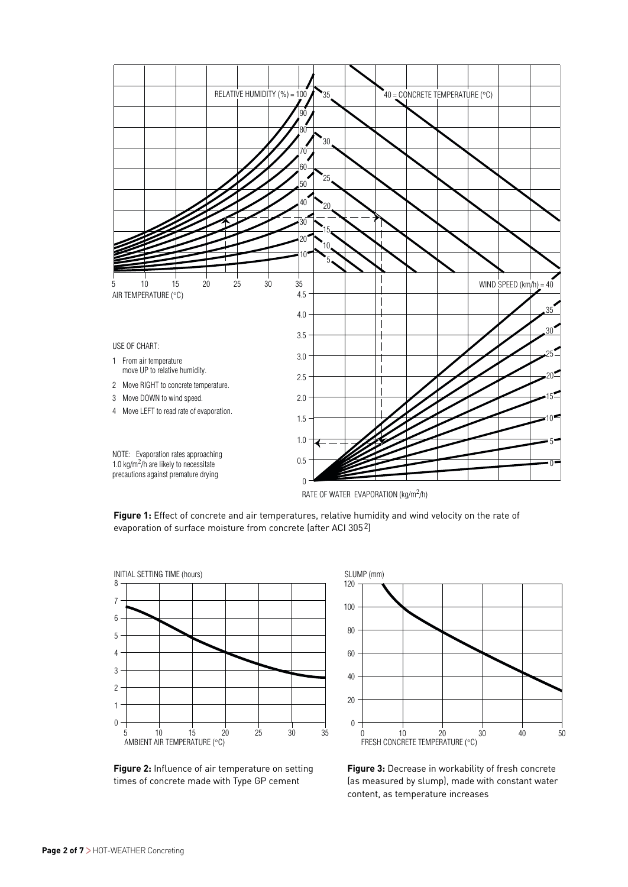

**Figure 1:** Effect of concrete and air temperatures, relative humidity and wind velocity on the rate of evaporation of surface moisture from concrete (after ACI 3052)



**Figure 2:** Influence of air temperature on setting times of concrete made with Type GP cement



**Figure 3:** Decrease in workability of fresh concrete (as measured by slump), made with constant water content, as temperature increases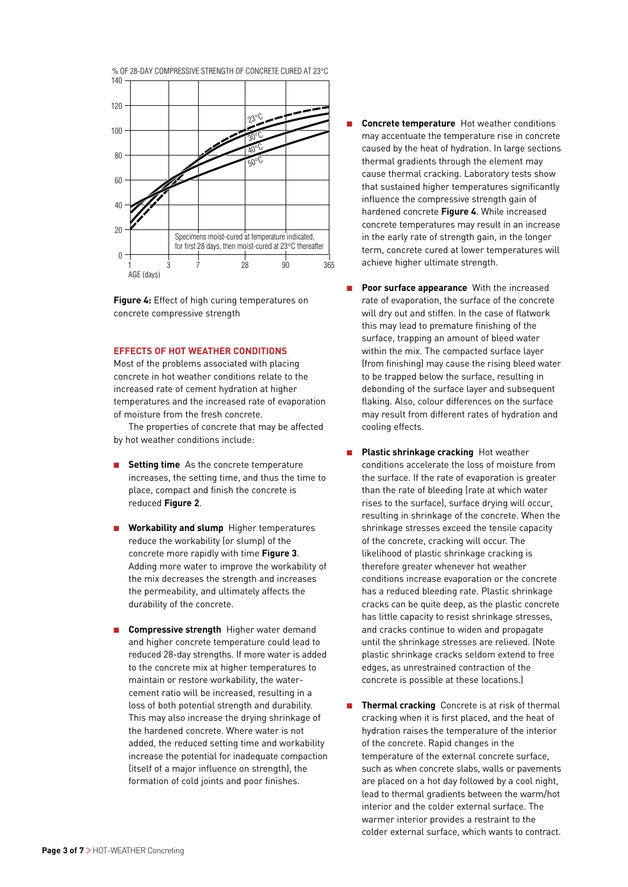

**Figure 4:** Effect of high curing temperatures on concrete compressive strength

# **EFFECTS OF HOT WEATHER CONDITIONS**

Most of the problems associated with placing concrete in hot weather conditions relate to the increased rate of cement hydration at higher temperatures and the increased rate of evaporation of moisture from the fresh concrete.

The properties of concrete that may be affected by hot weather conditions include:

- **Setting time** As the concrete temperature increases, the setting time, and thus the time to place, compact and finish the concrete is reduced **Figure 2**.
- **Workability and slump** Higher temperatures reduce the workability (or slump) of the concrete more rapidly with time **Figure 3**. Adding more water to improve the workability of the mix decreases the strength and increases the permeability, and ultimately affects the durability of the concrete.
- **Compressive strength** Higher water demand and higher concrete temperature could lead to reduced 28-day strengths. If more water is added to the concrete mix at higher temperatures to maintain or restore workability, the watercement ratio will be increased, resulting in a loss of both potential strength and durability. This may also increase the drying shrinkage of the hardened concrete. Where water is not added, the reduced setting time and workability increase the potential for inadequate compaction (itself of a major influence on strength), the formation of cold joints and poor finishes.
- **Concrete temperature** Hot weather conditions may accentuate the temperature rise in concrete caused by the heat of hydration. In large sections thermal gradients through the element may cause thermal cracking. Laboratory tests show that sustained higher temperatures significantly influence the compressive strength gain of hardened concrete **Figure 4**. While increased concrete temperatures may result in an increase in the early rate of strength gain, in the longer term, concrete cured at lower temperatures will achieve higher ultimate strength.
- **Poor surface appearance** With the increased rate of evaporation, the surface of the concrete will dry out and stiffen. In the case of flatwork this may lead to premature finishing of the surface, trapping an amount of bleed water within the mix. The compacted surface layer (from finishing) may cause the rising bleed water to be trapped below the surface, resulting in debonding of the surface layer and subsequent flaking. Also, colour differences on the surface may result from different rates of hydration and cooling effects.
- **Plastic shrinkage cracking** Hot weather conditions accelerate the loss of moisture from the surface. If the rate of evaporation is greater than the rate of bleeding (rate at which water rises to the surface), surface drying will occur, resulting in shrinkage of the concrete. When the shrinkage stresses exceed the tensile capacity of the concrete, cracking will occur. The likelihood of plastic shrinkage cracking is therefore greater whenever hot weather conditions increase evaporation or the concrete has a reduced bleeding rate. Plastic shrinkage cracks can be quite deep, as the plastic concrete has little capacity to resist shrinkage stresses, and cracks continue to widen and propagate until the shrinkage stresses are relieved. (Note plastic shrinkage cracks seldom extend to free edges, as unrestrained contraction of the concrete is possible at these locations.)
- **Thermal cracking** Concrete is at risk of thermal cracking when it is first placed, and the heat of hydration raises the temperature of the interior of the concrete. Rapid changes in the temperature of the external concrete surface, such as when concrete slabs, walls or pavements are placed on a hot day followed by a cool night, lead to thermal gradients between the warm/hot interior and the colder external surface. The warmer interior provides a restraint to the colder external surface, which wants to contract.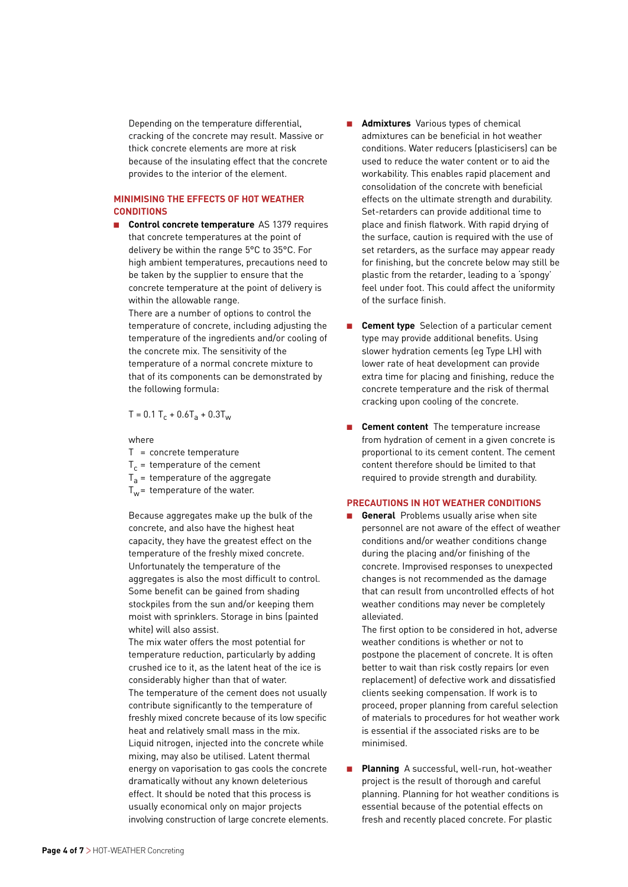Depending on the temperature differential, cracking of the concrete may result. Massive or thick concrete elements are more at risk because of the insulating effect that the concrete provides to the interior of the element.

# **MINIMISING THE EFFECTS OF HOT WEATHER CONDITIONS**

■ **Control concrete temperature** AS 1379 requires that concrete temperatures at the point of delivery be within the range 5°C to 35°C. For high ambient temperatures, precautions need to be taken by the supplier to ensure that the concrete temperature at the point of delivery is within the allowable range.

There are a number of options to control the temperature of concrete, including adjusting the temperature of the ingredients and/or cooling of the concrete mix. The sensitivity of the temperature of a normal concrete mixture to that of its components can be demonstrated by the following formula:

$$
T = 0.1 T_c + 0.6T_a + 0.3T_w
$$

## where

- T = concrete temperature
- $T_c$  = temperature of the cement
- $T_a$  = temperature of the aggregate
- $T_w$ = temperature of the water.

Because aggregates make up the bulk of the concrete, and also have the highest heat capacity, they have the greatest effect on the temperature of the freshly mixed concrete. Unfortunately the temperature of the aggregates is also the most difficult to control. Some benefit can be gained from shading stockpiles from the sun and/or keeping them moist with sprinklers. Storage in bins (painted white) will also assist.

The mix water offers the most potential for temperature reduction, particularly by adding crushed ice to it, as the latent heat of the ice is considerably higher than that of water. The temperature of the cement does not usually contribute significantly to the temperature of freshly mixed concrete because of its low specific heat and relatively small mass in the mix. Liquid nitrogen, injected into the concrete while mixing, may also be utilised. Latent thermal energy on vaporisation to gas cools the concrete dramatically without any known deleterious effect. It should be noted that this process is usually economical only on major projects involving construction of large concrete elements.

- **Admixtures** Various types of chemical admixtures can be beneficial in hot weather conditions. Water reducers (plasticisers) can be used to reduce the water content or to aid the workability. This enables rapid placement and consolidation of the concrete with beneficial effects on the ultimate strength and durability. Set-retarders can provide additional time to place and finish flatwork. With rapid drying of the surface, caution is required with the use of set retarders, as the surface may appear ready for finishing, but the concrete below may still be plastic from the retarder, leading to a 'spongy' feel under foot. This could affect the uniformity of the surface finish.
- **Cement type** Selection of a particular cement type may provide additional benefits. Using slower hydration cements (eg Type LH) with lower rate of heat development can provide extra time for placing and finishing, reduce the concrete temperature and the risk of thermal cracking upon cooling of the concrete.
- **Cement content** The temperature increase from hydration of cement in a given concrete is proportional to its cement content. The cement content therefore should be limited to that required to provide strength and durability.

## **PRECAUTIONS IN HOT WEATHER CONDITIONS**

**General** Problems usually arise when site personnel are not aware of the effect of weather conditions and/or weather conditions change during the placing and/or finishing of the concrete. Improvised responses to unexpected changes is not recommended as the damage that can result from uncontrolled effects of hot weather conditions may never be completely alleviated.

The first option to be considered in hot, adverse weather conditions is whether or not to postpone the placement of concrete. It is often better to wait than risk costly repairs (or even replacement) of defective work and dissatisfied clients seeking compensation. If work is to proceed, proper planning from careful selection of materials to procedures for hot weather work is essential if the associated risks are to be minimised.

**Planning** A successful, well-run, hot-weather project is the result of thorough and careful planning. Planning for hot weather conditions is essential because of the potential effects on fresh and recently placed concrete. For plastic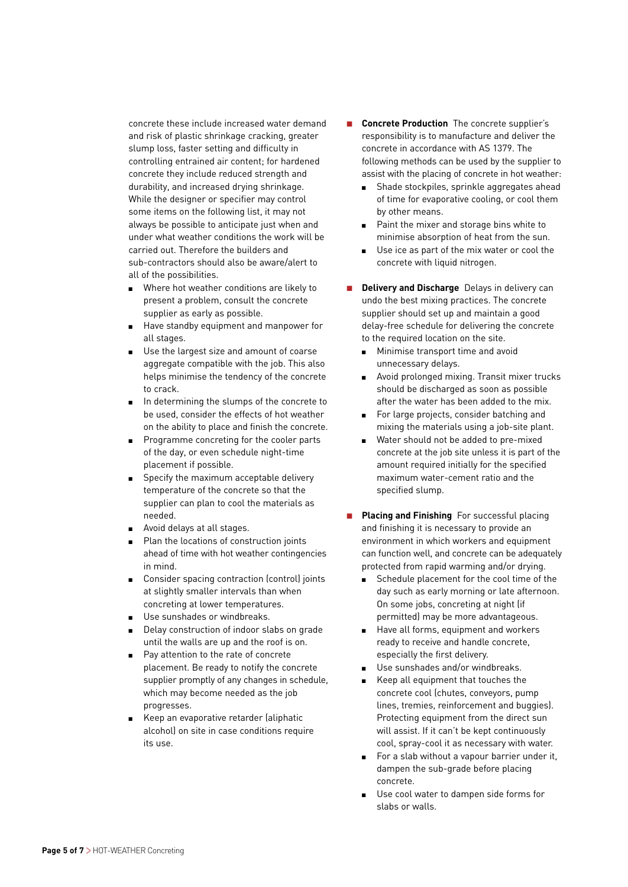concrete these include increased water demand and risk of plastic shrinkage cracking, greater slump loss, faster setting and difficulty in controlling entrained air content; for hardened concrete they include reduced strength and durability, and increased drying shrinkage. While the designer or specifier may control some items on the following list, it may not always be possible to anticipate just when and under what weather conditions the work will be carried out. Therefore the builders and sub-contractors should also be aware/alert to all of the possibilities.

- Where hot weather conditions are likely to present a problem, consult the concrete supplier as early as possible.
- Have standby equipment and manpower for all stages.
- Use the largest size and amount of coarse aggregate compatible with the job. This also helps minimise the tendency of the concrete to crack.
- In determining the slumps of the concrete to be used, consider the effects of hot weather on the ability to place and finish the concrete.
- Programme concreting for the cooler parts of the day, or even schedule night-time placement if possible.
- Specify the maximum acceptable delivery temperature of the concrete so that the supplier can plan to cool the materials as needed.
- Avoid delays at all stages.
- Plan the locations of construction joints ahead of time with hot weather contingencies in mind.
- Consider spacing contraction (control) joints at slightly smaller intervals than when concreting at lower temperatures.
- Use sunshades or windbreaks.
- Delay construction of indoor slabs on grade until the walls are up and the roof is on.
- Pay attention to the rate of concrete placement. Be ready to notify the concrete supplier promptly of any changes in schedule, which may become needed as the job progresses.
- Keep an evaporative retarder (aliphatic alcohol) on site in case conditions require its use.
- **Concrete Production** The concrete supplier's responsibility is to manufacture and deliver the concrete in accordance with AS 1379. The following methods can be used by the supplier to assist with the placing of concrete in hot weather:
	- Shade stockpiles, sprinkle aggregates ahead of time for evaporative cooling, or cool them by other means.
	- Paint the mixer and storage bins white to minimise absorption of heat from the sun.
	- Use ice as part of the mix water or cool the concrete with liquid nitrogen.
- **Delivery and Discharge** Delays in delivery can undo the best mixing practices. The concrete supplier should set up and maintain a good delay-free schedule for delivering the concrete to the required location on the site.
	- Minimise transport time and avoid unnecessary delays.
	- Avoid prolonged mixing. Transit mixer trucks should be discharged as soon as possible after the water has been added to the mix.
	- For large projects, consider batching and mixing the materials using a job-site plant.
	- Water should not be added to pre-mixed concrete at the job site unless it is part of the amount required initially for the specified maximum water-cement ratio and the specified slump.
- **Placing and Finishing** For successful placing and finishing it is necessary to provide an environment in which workers and equipment can function well, and concrete can be adequately protected from rapid warming and/or drying.
	- Schedule placement for the cool time of the day such as early morning or late afternoon. On some jobs, concreting at night (if permitted) may be more advantageous.
	- Have all forms, equipment and workers ready to receive and handle concrete, especially the first delivery.
	- Use sunshades and/or windbreaks.
	- Keep all equipment that touches the concrete cool (chutes, conveyors, pump lines, tremies, reinforcement and buggies). Protecting equipment from the direct sun will assist. If it can't be kept continuously cool, spray-cool it as necessary with water.
	- For a slab without a vapour barrier under it, dampen the sub-grade before placing concrete.
	- Use cool water to dampen side forms for slabs or walls.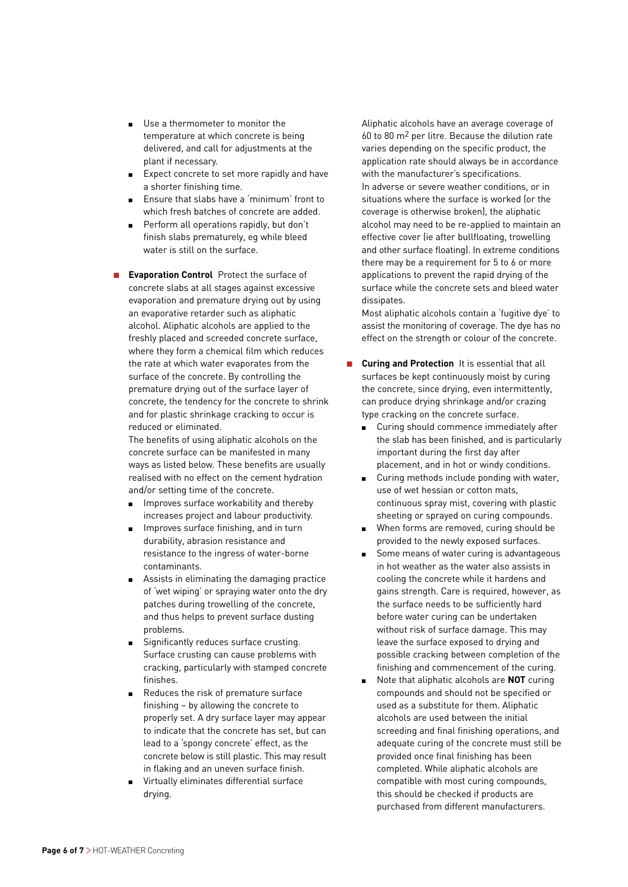- Use a thermometer to monitor the temperature at which concrete is being delivered, and call for adjustments at the plant if necessary.
- Expect concrete to set more rapidly and have a shorter finishing time.
- Ensure that slabs have a 'minimum' front to which fresh batches of concrete are added.
- Perform all operations rapidly, but don't finish slabs prematurely, eg while bleed water is still on the surface.
- **Evaporation Control** Protect the surface of concrete slabs at all stages against excessive evaporation and premature drying out by using an evaporative retarder such as aliphatic alcohol. Aliphatic alcohols are applied to the freshly placed and screeded concrete surface, where they form a chemical film which reduces the rate at which water evaporates from the surface of the concrete. By controlling the premature drying out of the surface layer of concrete, the tendency for the concrete to shrink and for plastic shrinkage cracking to occur is reduced or eliminated.

The benefits of using aliphatic alcohols on the concrete surface can be manifested in many ways as listed below. These benefits are usually realised with no effect on the cement hydration and/or setting time of the concrete.

- Improves surface workability and thereby increases project and labour productivity.
- Improves surface finishing, and in turn durability, abrasion resistance and resistance to the ingress of water-borne contaminants.
- Assists in eliminating the damaging practice of 'wet wiping' or spraying water onto the dry patches during trowelling of the concrete, and thus helps to prevent surface dusting problems.
- Significantly reduces surface crusting. Surface crusting can cause problems with cracking, particularly with stamped concrete finishes.
- Reduces the risk of premature surface finishing – by allowing the concrete to properly set. A dry surface layer may appear to indicate that the concrete has set, but can lead to a 'spongy concrete' effect, as the concrete below is still plastic. This may result in flaking and an uneven surface finish.
- Virtually eliminates differential surface drying.

Aliphatic alcohols have an average coverage of 60 to 80  $\text{m}^2$  per litre. Because the dilution rate varies depending on the specific product, the application rate should always be in accordance with the manufacturer's specifications. In adverse or severe weather conditions, or in situations where the surface is worked (or the coverage is otherwise broken), the aliphatic alcohol may need to be re-applied to maintain an effective cover (ie after bullfloating, trowelling and other surface floating). In extreme conditions there may be a requirement for 5 to 6 or more applications to prevent the rapid drying of the surface while the concrete sets and bleed water dissipates.

Most aliphatic alcohols contain a 'fugitive dye' to assist the monitoring of coverage. The dye has no effect on the strength or colour of the concrete.

- **Curing and Protection** It is essential that all surfaces be kept continuously moist by curing the concrete, since drying, even intermittently, can produce drying shrinkage and/or crazing type cracking on the concrete surface.
	- Curing should commence immediately after the slab has been finished, and is particularly important during the first day after placement, and in hot or windy conditions.
	- Curing methods include ponding with water, use of wet hessian or cotton mats, continuous spray mist, covering with plastic sheeting or sprayed on curing compounds.
	- When forms are removed, curing should be provided to the newly exposed surfaces.
	- Some means of water curing is advantageous in hot weather as the water also assists in cooling the concrete while it hardens and gains strength. Care is required, however, as the surface needs to be sufficiently hard before water curing can be undertaken without risk of surface damage. This may leave the surface exposed to drying and possible cracking between completion of the finishing and commencement of the curing.
	- Note that aliphatic alcohols are **NOT** curing compounds and should not be specified or used as a substitute for them. Aliphatic alcohols are used between the initial screeding and final finishing operations, and adequate curing of the concrete must still be provided once final finishing has been completed. While aliphatic alcohols are compatible with most curing compounds, this should be checked if products are purchased from different manufacturers.